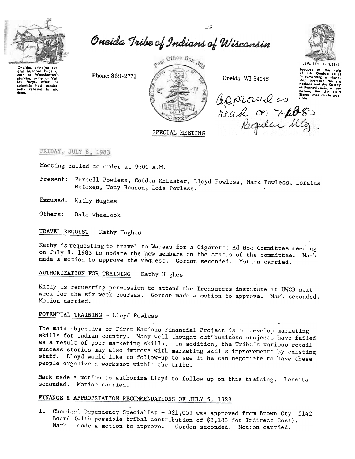

Oneida Tribe of Indians of Wisconsin

~

Oneidas bringing sovoral hundrod bags of corn to Washington's<br>
Ilay Forgo, after the<br>
colonists had consist-<br>
ently refused to aid<br>
thom.



read on 7poss

-



UGWA DEHDlUH YATEHE Because of the help<br>of this Oneida Chief<br>in conenting a friend<br>ship between the six<br>nations and the Colony<br>of Pennsylvonio. a new<br>nation, the Unil 0 d  $\sqrt{\left(\left(\frac{1}{N}\right)\left(\frac{1}{N}\right)\left(\frac{1}{N}\right)\left(\frac{1}{N}\right)\left(\frac{1}{N}\right)\left(\frac{1}{N}\right)\left(\frac{1}{N}\right)}$  states was made pos-

SPECIAL MEETING

FRIDAY, JULY 8, 1983

Meeting called to order at 9:00 A.M.

Present: Purcell Powless, Gordon McLester, Lloyd Powless, Mark Powless, Loretta Metoxen, Tony Benson, Lois Powless.

Excused: Kathy Hughes

Others: Dale Wheelook

TRAVEL REQUEST - Kathy Hughes

Kathy is requesting to travel to Wausau for a Cigarette Ad Hoc Committee meeting on July 8) 1983 to update the new members on the status of the committee. Mark made a motion to approve the request. Gordon seconded. Motion carried.

AUTHORIZATION FOR TRAINING - Kathy Hughes

Kathy is requesting permission to attend the Treasurers institute at UWGB next week for the six week courses. Gordon made a motion to approve. Mark seconded. Motion carried.

POTENTIAL TRAINING -Lloyd Powless

The main objective of First Nations Financial Project is to develop marketi skills for Indian country. Many well thought out-business projects have failed as a result of poor marketing skills, In addition, the Tribe's various retail success stories may also improve with marketing skills improvements by existing staff. Lloyd would like to follow-up to see if he can negotiate to have these people organize a workshop within the tribe.

Mark made a motion to authorize Lloyd to follow-up on this training. Lorett seconded. Motion carried.

## FINANCE & APPROPRIATION RECOMMENDATIONS OF JULY 5, 1983

1. Chemical Dependency Specialist - \$21,059 was approved from Brown Cty. 5142 Board (with possible tribal contribution of \$3,183 for Indirect Cost). Mark made a motion to approve. Gordon seconded. Motion carried.